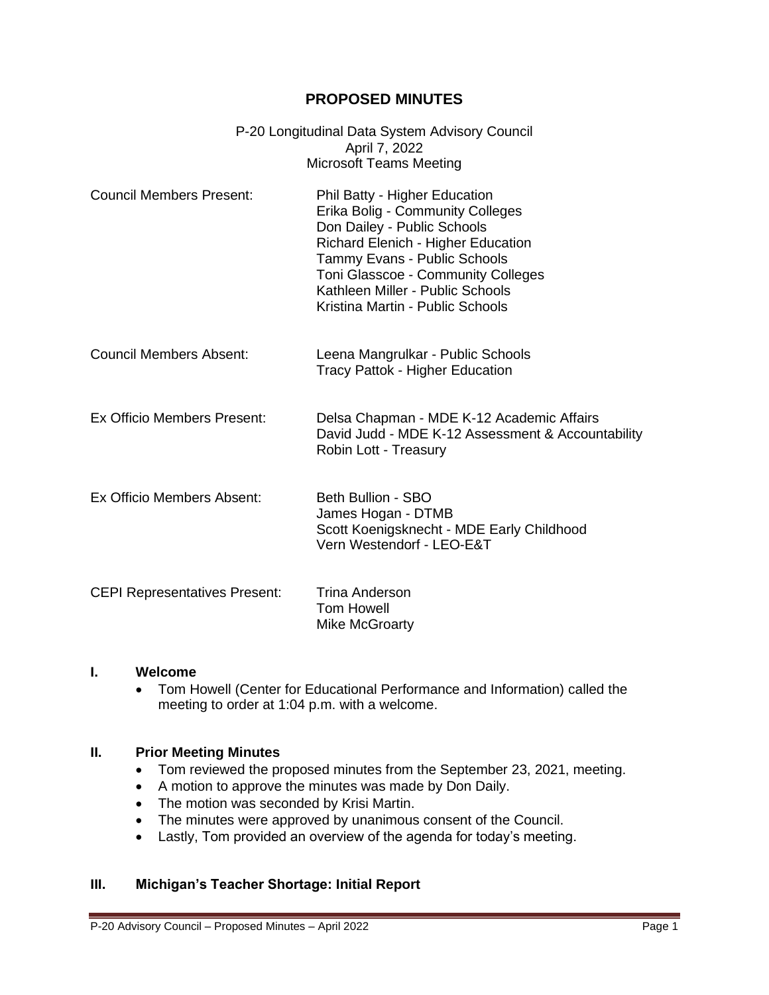# **PROPOSED MINUTES**

| P-20 Longitudinal Data System Advisory Council |
|------------------------------------------------|
| April 7, 2022                                  |
| Microsoft Teams Meeting                        |

- Council Members Present: Phil Batty Higher Education Erika Bolig - Community Colleges Don Dailey - Public Schools Richard Elenich - Higher Education Tammy Evans - Public Schools Toni Glasscoe - Community Colleges Kathleen Miller - Public Schools Kristina Martin - Public Schools
- Council Members Absent: Leena Mangrulkar Public Schools Tracy Pattok - Higher Education
- Ex Officio Members Present: Delsa Chapman MDE K-12 Academic Affairs David Judd - MDE K-12 Assessment & Accountability Robin Lott - Treasury
- Ex Officio Members Absent: Beth Bullion SBO James Hogan - DTMB Scott Koenigsknecht - MDE Early Childhood Vern Westendorf - LEO-E&T

| <b>CEPI Representatives Present:</b> | Trina Anderson |
|--------------------------------------|----------------|
|                                      | Tom Howell     |
|                                      | Mike McGroarty |

#### **I. Welcome**

• Tom Howell (Center for Educational Performance and Information) called the meeting to order at 1:04 p.m. with a welcome.

#### **II. Prior Meeting Minutes**

- Tom reviewed the proposed minutes from the September 23, 2021, meeting.
- A motion to approve the minutes was made by Don Daily.
- The motion was seconded by Krisi Martin.
- The minutes were approved by unanimous consent of the Council.
- Lastly, Tom provided an overview of the agenda for today's meeting.

## **III. Michigan's Teacher Shortage: Initial Report**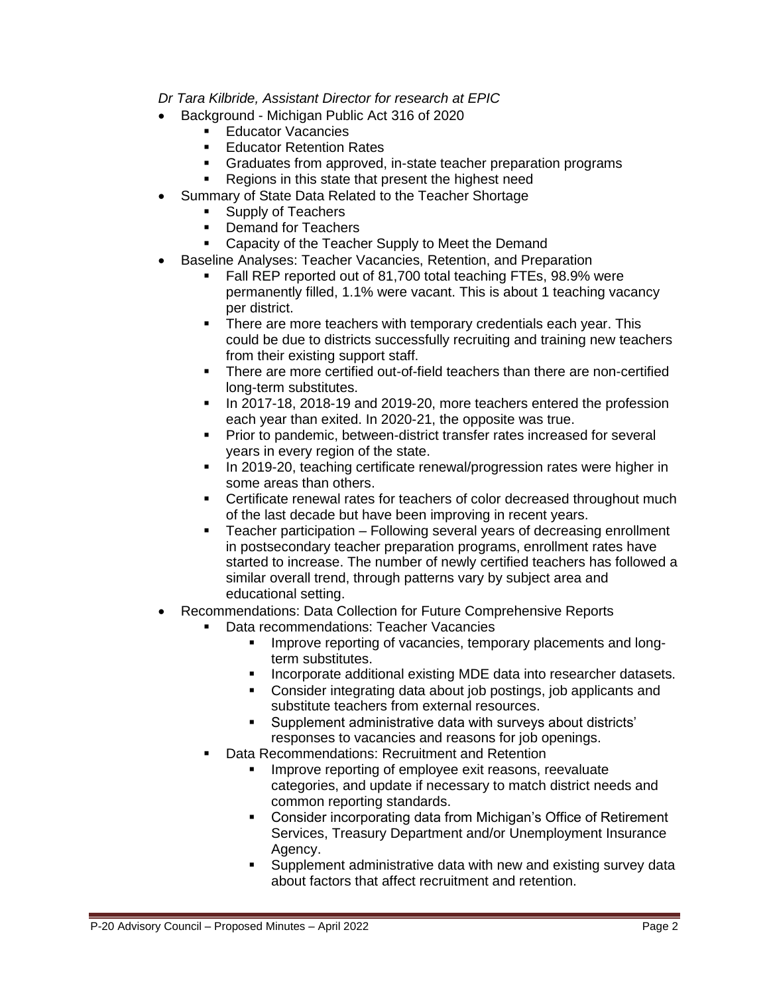# *Dr Tara Kilbride, Assistant Director for research at EPIC*

- Background Michigan Public Act 316 of 2020
	- **Educator Vacancies**
	- **Educator Retention Rates**
	- Graduates from approved, in-state teacher preparation programs
	- Regions in this state that present the highest need
- Summary of State Data Related to the Teacher Shortage
	- Supply of Teachers
	- Demand for Teachers
	- Capacity of the Teacher Supply to Meet the Demand
- Baseline Analyses: Teacher Vacancies, Retention, and Preparation
	- Fall REP reported out of 81,700 total teaching FTEs, 98.9% were permanently filled, 1.1% were vacant. This is about 1 teaching vacancy per district.
	- **EXECT** There are more teachers with temporary credentials each year. This could be due to districts successfully recruiting and training new teachers from their existing support staff.
	- There are more certified out-of-field teachers than there are non-certified long-term substitutes.
	- **■** In 2017-18, 2018-19 and 2019-20, more teachers entered the profession each year than exited. In 2020-21, the opposite was true.
	- **Prior to pandemic, between-district transfer rates increased for several** years in every region of the state.
	- **In 2019-20, teaching certificate renewal/progression rates were higher in** some areas than others.
	- **EXECT** Certificate renewal rates for teachers of color decreased throughout much of the last decade but have been improving in recent years.
	- Teacher participation Following several years of decreasing enrollment in postsecondary teacher preparation programs, enrollment rates have started to increase. The number of newly certified teachers has followed a similar overall trend, through patterns vary by subject area and educational setting.
- Recommendations: Data Collection for Future Comprehensive Reports
	- Data recommendations: Teacher Vacancies
		- **EXEDENT** Improve reporting of vacancies, temporary placements and longterm substitutes.
		- **■** Incorporate additional existing MDE data into researcher datasets.
		- Consider integrating data about job postings, job applicants and substitute teachers from external resources.
		- Supplement administrative data with surveys about districts' responses to vacancies and reasons for job openings.
	- Data Recommendations: Recruitment and Retention
		- **EXEDEE Improve reporting of employee exit reasons, reevaluate** categories, and update if necessary to match district needs and common reporting standards.
		- Consider incorporating data from Michigan's Office of Retirement Services, Treasury Department and/or Unemployment Insurance Agency.
		- Supplement administrative data with new and existing survey data about factors that affect recruitment and retention.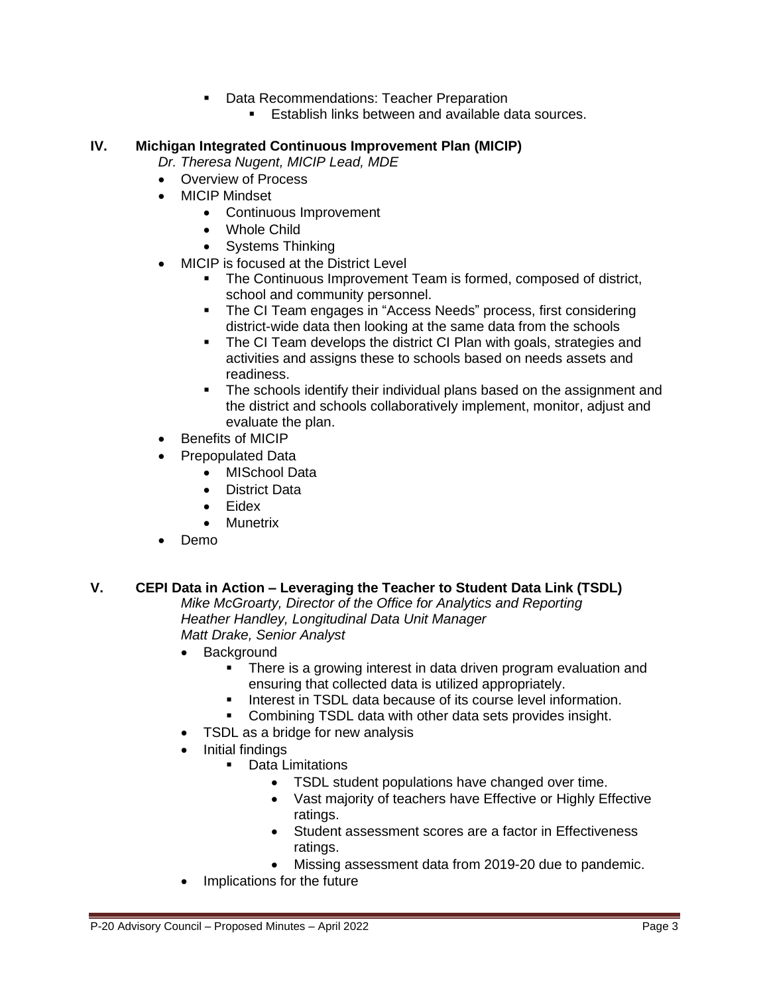- Data Recommendations: Teacher Preparation
	- **E** Establish links between and available data sources.

### **IV. Michigan Integrated Continuous Improvement Plan (MICIP)**

- *Dr. Theresa Nugent, MICIP Lead, MDE*
- Overview of Process
- MICIP Mindset
	- Continuous Improvement
	- Whole Child
	- Systems Thinking
- MICIP is focused at the District Level
	- **The Continuous Improvement Team is formed, composed of district,** school and community personnel.
	- The CI Team engages in "Access Needs" process, first considering district-wide data then looking at the same data from the schools
	- The CI Team develops the district CI Plan with goals, strategies and activities and assigns these to schools based on needs assets and readiness.
	- The schools identify their individual plans based on the assignment and the district and schools collaboratively implement, monitor, adjust and evaluate the plan.
- Benefits of MICIP
- Prepopulated Data
	- MISchool Data
	- District Data
	- **Fidex**
	- Munetrix
- Demo

### **V. CEPI Data in Action – Leveraging the Teacher to Student Data Link (TSDL)**

*Mike McGroarty, Director of the Office for Analytics and Reporting Heather Handley, Longitudinal Data Unit Manager Matt Drake, Senior Analyst*

- **Background** 
	- **•** There is a growing interest in data driven program evaluation and ensuring that collected data is utilized appropriately.
	- **EXECT** Interest in TSDL data because of its course level information.
	- Combining TSDL data with other data sets provides insight.
- TSDL as a bridge for new analysis
- Initial findings
	- Data Limitations
		- TSDL student populations have changed over time.
		- Vast majority of teachers have Effective or Highly Effective ratings.
		- Student assessment scores are a factor in Effectiveness ratings.
		- Missing assessment data from 2019-20 due to pandemic.
- Implications for the future